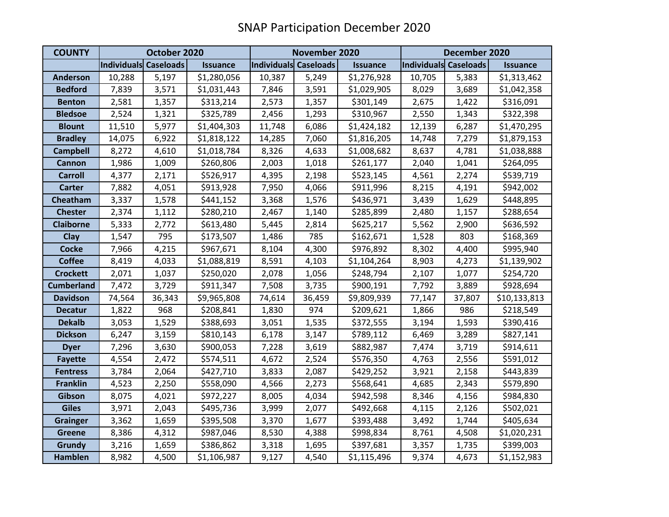| <b>COUNTY</b>     | October 2020          |        |                 | November 2020         |        |                 | December 2020         |        |                 |
|-------------------|-----------------------|--------|-----------------|-----------------------|--------|-----------------|-----------------------|--------|-----------------|
|                   | Individuals Caseloads |        | <b>Issuance</b> | Individuals Caseloads |        | <b>Issuance</b> | Individuals Caseloads |        | <b>Issuance</b> |
| <b>Anderson</b>   | 10,288                | 5,197  | \$1,280,056     | 10,387                | 5,249  | \$1,276,928     | 10,705                | 5,383  | \$1,313,462     |
| <b>Bedford</b>    | 7,839                 | 3,571  | \$1,031,443     | 7,846                 | 3,591  | \$1,029,905     | 8,029                 | 3,689  | \$1,042,358     |
| <b>Benton</b>     | 2,581                 | 1,357  | \$313,214       | 2,573                 | 1,357  | \$301,149       | 2,675                 | 1,422  | \$316,091       |
| <b>Bledsoe</b>    | 2,524                 | 1,321  | \$325,789       | 2,456                 | 1,293  | \$310,967       | 2,550                 | 1,343  | \$322,398       |
| <b>Blount</b>     | 11,510                | 5,977  | \$1,404,303     | 11,748                | 6,086  | \$1,424,182     | 12,139                | 6,287  | \$1,470,295     |
| <b>Bradley</b>    | 14,075                | 6,922  | \$1,818,122     | 14,285                | 7,060  | \$1,816,205     | 14,748                | 7,279  | \$1,879,153     |
| <b>Campbell</b>   | 8,272                 | 4,610  | \$1,018,784     | 8,326                 | 4,633  | \$1,008,682     | 8,637                 | 4,781  | \$1,038,888     |
| <b>Cannon</b>     | 1,986                 | 1,009  | \$260,806       | 2,003                 | 1,018  | \$261,177       | 2,040                 | 1,041  | \$264,095       |
| <b>Carroll</b>    | 4,377                 | 2,171  | \$526,917       | 4,395                 | 2,198  | \$523,145       | 4,561                 | 2,274  | \$539,719       |
| <b>Carter</b>     | 7,882                 | 4,051  | \$913,928       | 7,950                 | 4,066  | \$911,996       | 8,215                 | 4,191  | \$942,002       |
| Cheatham          | 3,337                 | 1,578  | \$441,152       | 3,368                 | 1,576  | \$436,971       | 3,439                 | 1,629  | \$448,895       |
| <b>Chester</b>    | 2,374                 | 1,112  | \$280,210       | 2,467                 | 1,140  | \$285,899       | 2,480                 | 1,157  | \$288,654       |
| <b>Claiborne</b>  | 5,333                 | 2,772  | \$613,480       | 5,445                 | 2,814  | \$625,217       | 5,562                 | 2,900  | \$636,592       |
| Clay              | 1,547                 | 795    | \$173,507       | 1,486                 | 785    | \$162,671       | 1,528                 | 803    | \$168,369       |
| <b>Cocke</b>      | 7,966                 | 4,215  | \$967,671       | 8,104                 | 4,300  | \$976,892       | 8,302                 | 4,400  | \$995,940       |
| <b>Coffee</b>     | 8,419                 | 4,033  | \$1,088,819     | 8,591                 | 4,103  | \$1,104,264     | 8,903                 | 4,273  | \$1,139,902     |
| <b>Crockett</b>   | 2,071                 | 1,037  | \$250,020       | 2,078                 | 1,056  | \$248,794       | 2,107                 | 1,077  | \$254,720       |
| <b>Cumberland</b> | 7,472                 | 3,729  | \$911,347       | 7,508                 | 3,735  | \$900,191       | 7,792                 | 3,889  | \$928,694       |
| <b>Davidson</b>   | 74,564                | 36,343 | \$9,965,808     | 74,614                | 36,459 | \$9,809,939     | 77,147                | 37,807 | \$10,133,813    |
| <b>Decatur</b>    | 1,822                 | 968    | \$208,841       | 1,830                 | 974    | \$209,621       | 1,866                 | 986    | \$218,549       |
| <b>Dekalb</b>     | 3,053                 | 1,529  | \$388,693       | 3,051                 | 1,535  | \$372,555       | 3,194                 | 1,593  | \$390,416       |
| <b>Dickson</b>    | 6,247                 | 3,159  | \$810,143       | 6,178                 | 3,147  | \$789,112       | 6,469                 | 3,289  | \$827,141       |
| <b>Dyer</b>       | 7,296                 | 3,630  | \$900,053       | 7,228                 | 3,619  | \$882,987       | 7,474                 | 3,719  | \$914,611       |
| <b>Fayette</b>    | 4,554                 | 2,472  | \$574,511       | 4,672                 | 2,524  | \$576,350       | 4,763                 | 2,556  | \$591,012       |
| <b>Fentress</b>   | 3,784                 | 2,064  | \$427,710       | 3,833                 | 2,087  | \$429,252       | 3,921                 | 2,158  | \$443,839       |
| <b>Franklin</b>   | 4,523                 | 2,250  | \$558,090       | 4,566                 | 2,273  | \$568,641       | 4,685                 | 2,343  | \$579,890       |
| Gibson            | 8,075                 | 4,021  | \$972,227       | 8,005                 | 4,034  | \$942,598       | 8,346                 | 4,156  | \$984,830       |
| <b>Giles</b>      | 3,971                 | 2,043  | \$495,736       | 3,999                 | 2,077  | \$492,668       | 4,115                 | 2,126  | \$502,021       |
| <b>Grainger</b>   | 3,362                 | 1,659  | \$395,508       | 3,370                 | 1,677  | \$393,488       | 3,492                 | 1,744  | \$405,634       |
| <b>Greene</b>     | 8,386                 | 4,312  | \$987,046       | 8,530                 | 4,388  | \$998,834       | 8,761                 | 4,508  | \$1,020,231     |
| Grundy            | 3,216                 | 1,659  | \$386,862       | 3,318                 | 1,695  | \$397,681       | 3,357                 | 1,735  | \$399,003       |
| <b>Hamblen</b>    | 8,982                 | 4,500  | \$1,106,987     | 9,127                 | 4,540  | \$1,115,496     | 9,374                 | 4,673  | \$1,152,983     |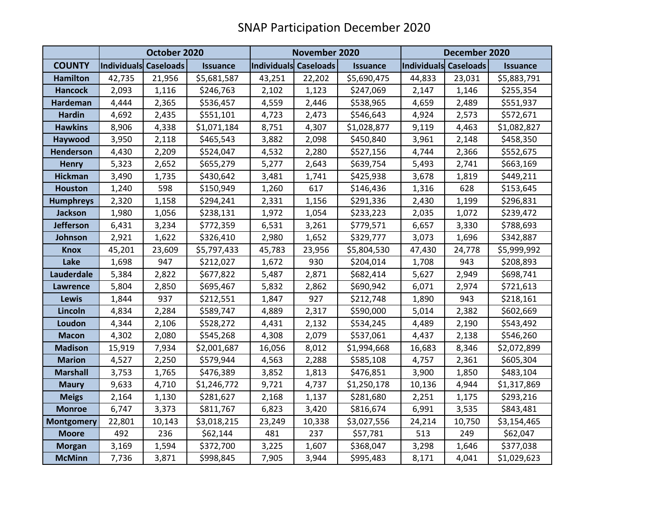|                   | October 2020          |        |                 |                       | November 2020 |                 |                       | December 2020 |                 |  |
|-------------------|-----------------------|--------|-----------------|-----------------------|---------------|-----------------|-----------------------|---------------|-----------------|--|
| <b>COUNTY</b>     | Individuals Caseloads |        | <b>Issuance</b> | Individuals Caseloads |               | <b>Issuance</b> | Individuals Caseloads |               | <b>Issuance</b> |  |
| <b>Hamilton</b>   | 42,735                | 21,956 | \$5,681,587     | 43,251                | 22,202        | \$5,690,475     | 44,833                | 23,031        | \$5,883,791     |  |
| <b>Hancock</b>    | 2,093                 | 1,116  | \$246,763       | 2,102                 | 1,123         | \$247,069       | 2,147                 | 1,146         | \$255,354       |  |
| <b>Hardeman</b>   | 4,444                 | 2,365  | \$536,457       | 4,559                 | 2,446         | \$538,965       | 4,659                 | 2,489         | \$551,937       |  |
| <b>Hardin</b>     | 4,692                 | 2,435  | \$551,101       | 4,723                 | 2,473         | \$546,643       | 4,924                 | 2,573         | \$572,671       |  |
| <b>Hawkins</b>    | 8,906                 | 4,338  | \$1,071,184     | 8,751                 | 4,307         | \$1,028,877     | 9,119                 | 4,463         | \$1,082,827     |  |
| Haywood           | 3,950                 | 2,118  | \$465,543       | 3,882                 | 2,098         | \$450,840       | 3,961                 | 2,148         | \$458,350       |  |
| <b>Henderson</b>  | 4,430                 | 2,209  | \$524,047       | 4,532                 | 2,280         | \$527,156       | 4,744                 | 2,366         | \$552,675       |  |
| <b>Henry</b>      | 5,323                 | 2,652  | \$655,279       | 5,277                 | 2,643         | \$639,754       | 5,493                 | 2,741         | \$663,169       |  |
| <b>Hickman</b>    | 3,490                 | 1,735  | \$430,642       | 3,481                 | 1,741         | \$425,938       | 3,678                 | 1,819         | \$449,211       |  |
| <b>Houston</b>    | 1,240                 | 598    | \$150,949       | 1,260                 | 617           | \$146,436       | 1,316                 | 628           | \$153,645       |  |
| <b>Humphreys</b>  | 2,320                 | 1,158  | \$294,241       | 2,331                 | 1,156         | \$291,336       | 2,430                 | 1,199         | \$296,831       |  |
| <b>Jackson</b>    | 1,980                 | 1,056  | \$238,131       | 1,972                 | 1,054         | \$233,223       | 2,035                 | 1,072         | \$239,472       |  |
| <b>Jefferson</b>  | 6,431                 | 3,234  | \$772,359       | 6,531                 | 3,261         | \$779,571       | 6,657                 | 3,330         | \$788,693       |  |
| Johnson           | 2,921                 | 1,622  | \$326,410       | 2,980                 | 1,652         | \$329,777       | 3,073                 | 1,696         | \$342,887       |  |
| <b>Knox</b>       | 45,201                | 23,609 | \$5,797,433     | 45,783                | 23,956        | \$5,804,530     | 47,430                | 24,778        | \$5,999,992     |  |
| Lake              | 1,698                 | 947    | \$212,027       | 1,672                 | 930           | \$204,014       | 1,708                 | 943           | \$208,893       |  |
| Lauderdale        | 5,384                 | 2,822  | \$677,822       | 5,487                 | 2,871         | \$682,414       | 5,627                 | 2,949         | \$698,741       |  |
| <b>Lawrence</b>   | 5,804                 | 2,850  | \$695,467       | 5,832                 | 2,862         | \$690,942       | 6,071                 | 2,974         | \$721,613       |  |
| Lewis             | 1,844                 | 937    | \$212,551       | 1,847                 | 927           | \$212,748       | 1,890                 | 943           | \$218,161       |  |
| Lincoln           | 4,834                 | 2,284  | \$589,747       | 4,889                 | 2,317         | \$590,000       | 5,014                 | 2,382         | \$602,669       |  |
| Loudon            | 4,344                 | 2,106  | \$528,272       | 4,431                 | 2,132         | \$534,245       | 4,489                 | 2,190         | \$543,492       |  |
| <b>Macon</b>      | 4,302                 | 2,080  | \$545,268       | 4,308                 | 2,079         | \$537,061       | 4,437                 | 2,138         | \$546,260       |  |
| <b>Madison</b>    | 15,919                | 7,934  | \$2,001,687     | 16,056                | 8,012         | \$1,994,668     | 16,683                | 8,346         | \$2,072,899     |  |
| <b>Marion</b>     | 4,527                 | 2,250  | \$579,944       | 4,563                 | 2,288         | \$585,108       | 4,757                 | 2,361         | \$605,304       |  |
| <b>Marshall</b>   | 3,753                 | 1,765  | \$476,389       | 3,852                 | 1,813         | \$476,851       | 3,900                 | 1,850         | \$483,104       |  |
| <b>Maury</b>      | 9,633                 | 4,710  | \$1,246,772     | 9,721                 | 4,737         | \$1,250,178     | 10,136                | 4,944         | \$1,317,869     |  |
| <b>Meigs</b>      | 2,164                 | 1,130  | \$281,627       | 2,168                 | 1,137         | \$281,680       | 2,251                 | 1,175         | \$293,216       |  |
| <b>Monroe</b>     | 6,747                 | 3,373  | \$811,767       | 6,823                 | 3,420         | \$816,674       | 6,991                 | 3,535         | \$843,481       |  |
| <b>Montgomery</b> | 22,801                | 10,143 | \$3,018,215     | 23,249                | 10,338        | \$3,027,556     | 24,214                | 10,750        | \$3,154,465     |  |
| <b>Moore</b>      | 492                   | 236    | \$62,144        | 481                   | 237           | \$57,781        | 513                   | 249           | \$62,047        |  |
| <b>Morgan</b>     | 3,169                 | 1,594  | \$372,700       | 3,225                 | 1,607         | \$368,047       | 3,298                 | 1,646         | \$377,038       |  |
| <b>McMinn</b>     | 7,736                 | 3,871  | \$998,845       | 7,905                 | 3,944         | \$995,483       | 8,171                 | 4,041         | \$1,029,623     |  |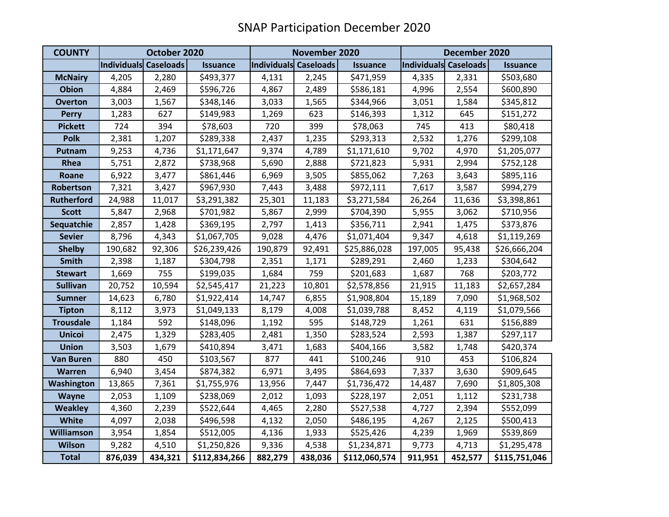| <b>COUNTY</b>     | October 2020          |         |                 | November 2020         |         |                 | December 2020         |         |                 |
|-------------------|-----------------------|---------|-----------------|-----------------------|---------|-----------------|-----------------------|---------|-----------------|
|                   | Individuals Caseloads |         | <b>Issuance</b> | Individuals Caseloads |         | <b>Issuance</b> | Individuals Caseloads |         | <b>Issuance</b> |
| <b>McNairy</b>    | 4,205                 | 2,280   | \$493,377       | 4,131                 | 2,245   | \$471,959       | 4,335                 | 2,331   | \$503,680       |
| <b>Obion</b>      | 4,884                 | 2,469   | \$596,726       | 4,867                 | 2,489   | \$586,181       | 4,996                 | 2,554   | \$600,890       |
| <b>Overton</b>    | 3,003                 | 1,567   | \$348,146       | 3,033                 | 1,565   | \$344,966       | 3,051                 | 1,584   | \$345,812       |
| <b>Perry</b>      | 1,283                 | 627     | \$149,983       | 1,269                 | 623     | \$146,393       | 1,312                 | 645     | \$151,272       |
| <b>Pickett</b>    | 724                   | 394     | \$78,603        | 720                   | 399     | \$78,063        | 745                   | 413     | \$80,418        |
| <b>Polk</b>       | 2,381                 | 1,207   | \$289,338       | 2,437                 | 1,235   | \$293,313       | 2,532                 | 1,276   | \$299,108       |
| Putnam            | 9,253                 | 4,736   | \$1,171,647     | 9,374                 | 4,789   | \$1,171,610     | 9,702                 | 4,970   | \$1,205,077     |
| Rhea              | 5,751                 | 2,872   | \$738,968       | 5,690                 | 2,888   | \$721,823       | 5,931                 | 2,994   | \$752,128       |
| Roane             | 6,922                 | 3,477   | \$861,446       | 6,969                 | 3,505   | \$855,062       | 7,263                 | 3,643   | \$895,116       |
| Robertson         | 7,321                 | 3,427   | \$967,930       | 7,443                 | 3,488   | \$972,111       | 7,617                 | 3,587   | \$994,279       |
| <b>Rutherford</b> | 24,988                | 11,017  | \$3,291,382     | 25,301                | 11,183  | \$3,271,584     | 26,264                | 11,636  | \$3,398,861     |
| <b>Scott</b>      | 5,847                 | 2,968   | \$701,982       | 5,867                 | 2,999   | \$704,390       | 5,955                 | 3,062   | \$710,956       |
| Sequatchie        | 2,857                 | 1,428   | \$369,195       | 2,797                 | 1,413   | \$356,711       | 2,941                 | 1,475   | \$373,876       |
| <b>Sevier</b>     | 8,796                 | 4,343   | \$1,067,705     | 9,028                 | 4,476   | \$1,071,404     | 9,347                 | 4,618   | \$1,119,269     |
| <b>Shelby</b>     | 190,682               | 92,306  | \$26,239,426    | 190,879               | 92,491  | \$25,886,028    | 197,005               | 95,438  | \$26,666,204    |
| <b>Smith</b>      | 2,398                 | 1,187   | \$304,798       | 2,351                 | 1,171   | \$289,291       | 2,460                 | 1,233   | \$304,642       |
| <b>Stewart</b>    | 1,669                 | 755     | \$199,035       | 1,684                 | 759     | \$201,683       | 1,687                 | 768     | \$203,772       |
| <b>Sullivan</b>   | 20,752                | 10,594  | \$2,545,417     | 21,223                | 10,801  | \$2,578,856     | 21,915                | 11,183  | \$2,657,284     |
| <b>Sumner</b>     | 14,623                | 6,780   | \$1,922,414     | 14,747                | 6,855   | \$1,908,804     | 15,189                | 7,090   | \$1,968,502     |
| <b>Tipton</b>     | 8,112                 | 3,973   | \$1,049,133     | 8,179                 | 4,008   | \$1,039,788     | 8,452                 | 4,119   | \$1,079,566     |
| <b>Trousdale</b>  | 1,184                 | 592     | \$148,096       | 1,192                 | 595     | \$148,729       | 1,261                 | 631     | \$156,889       |
| <b>Unicoi</b>     | 2,475                 | 1,329   | \$283,405       | 2,481                 | 1,350   | \$283,524       | 2,593                 | 1,387   | \$297,117       |
| <b>Union</b>      | 3,503                 | 1,679   | \$410,894       | 3,471                 | 1,683   | \$404,166       | 3,582                 | 1,748   | \$420,374       |
| <b>Van Buren</b>  | 880                   | 450     | \$103,567       | 877                   | 441     | \$100,246       | 910                   | 453     | \$106,824       |
| <b>Warren</b>     | 6,940                 | 3,454   | \$874,382       | 6,971                 | 3,495   | \$864,693       | 7,337                 | 3,630   | \$909,645       |
| Washington        | 13,865                | 7,361   | \$1,755,976     | 13,956                | 7,447   | \$1,736,472     | 14,487                | 7,690   | \$1,805,308     |
| Wayne             | 2,053                 | 1,109   | \$238,069       | 2,012                 | 1,093   | \$228,197       | 2,051                 | 1,112   | \$231,738       |
| <b>Weakley</b>    | 4,360                 | 2,239   | \$522,644       | 4,465                 | 2,280   | \$527,538       | 4,727                 | 2,394   | \$552,099       |
| White             | 4,097                 | 2,038   | \$496,598       | 4,132                 | 2,050   | \$486,195       | 4,267                 | 2,125   | \$500,413       |
| <b>Williamson</b> | 3,954                 | 1,854   | \$512,005       | 4,136                 | 1,933   | \$525,426       | 4,239                 | 1,969   | \$539,869       |
| <b>Wilson</b>     | 9,282                 | 4,510   | \$1,250,826     | 9,336                 | 4,538   | \$1,234,871     | 9,773                 | 4,713   | \$1,295,478     |
| <b>Total</b>      | 876,039               | 434,321 | \$112,834,266   | 882,279               | 438,036 | \$112,060,574   | 911,951               | 452,577 | \$115,751,046   |